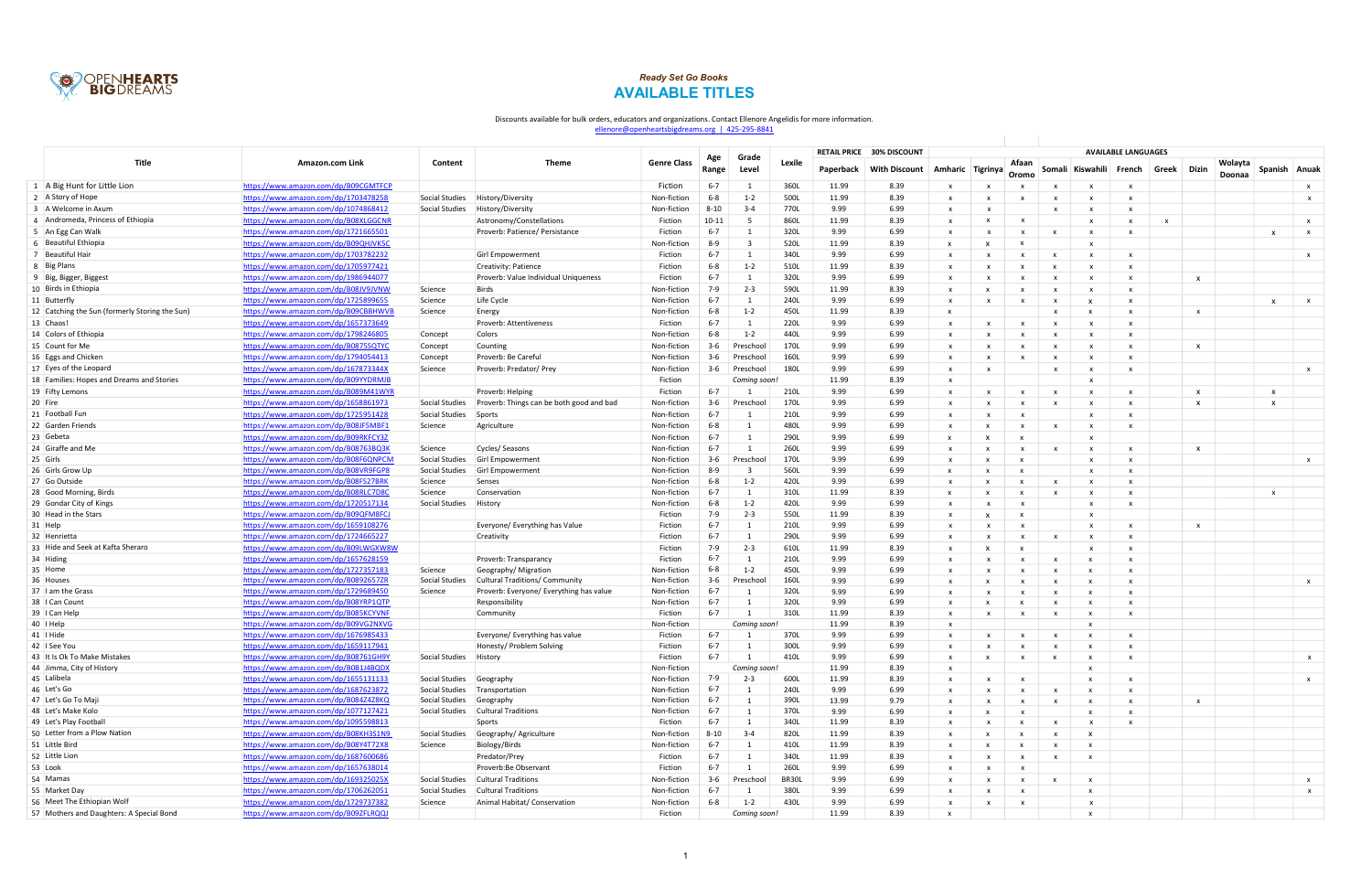|                                                | Amazon.com Link                      |                          |                                          |                    |              |                |        |           | <b>RETAIL PRICE 30% DISCOUNT</b> |                           |                           |                           |                           | <b>AVAILABLE LANGUAGES</b>                |              |       |                   |                 |              |
|------------------------------------------------|--------------------------------------|--------------------------|------------------------------------------|--------------------|--------------|----------------|--------|-----------|----------------------------------|---------------------------|---------------------------|---------------------------|---------------------------|-------------------------------------------|--------------|-------|-------------------|-----------------|--------------|
| <b>Title</b>                                   |                                      | Content                  | <b>Theme</b>                             | <b>Genre Class</b> | Age<br>Range | Grade<br>Level | Lexile | Paperback | <b>With Discount</b>             |                           | Amharic Tigrinya          | Afaan<br>Oromo            |                           | Somali Kiswahili French                   | Greek        | Dizin | Wolayta<br>Doonaa | Spanish   Anuak |              |
| 1   A Big Hunt for Little Lion                 | https://www.amazon.com/dp/B09CGMTFCP |                          |                                          | Fiction            | $6 - 7$      |                | 360L   | 11.99     | 8.39                             | $\mathbf{x}$              | X                         |                           |                           | $\mathbf{x}$                              |              |       |                   |                 | $\mathbf{x}$ |
| 2 A Story of Hope                              | https://www.amazon.com/dp/1703478258 | Social Studies           | History/Diversity                        | Non-fiction        | $6-8$        | $1 - 2$        | 500L   | 11.99     | 8.39                             | X                         | X                         |                           |                           | $\mathbf{x}$                              |              |       |                   |                 | x            |
| 3 A Welcome in Axum                            | https://www.amazon.com/dp/1074868412 | Social Studies           | History/Diversity                        | Non-fiction        | $8 - 10$     | $3 - 4$        | 770L   | 9.99      | 6.99                             | $\boldsymbol{\mathsf{x}}$ | $\mathsf{x}$              |                           | $\boldsymbol{\mathsf{x}}$ | $\mathbf{x}$                              |              |       |                   |                 |              |
| 4 Andromeda, Princess of Ethiopia              | https://www.amazon.com/dp/B08XLGGCNR |                          | Astronomy/Constellations                 | Fiction            | $10 - 11$    | - 5            | 860L   | 11.99     | 8.39                             | $\boldsymbol{\mathsf{x}}$ | x                         | $\boldsymbol{\mathsf{x}}$ |                           | $\mathbf{x}$                              | $\mathsf{x}$ |       |                   |                 | $\mathsf{x}$ |
| 5 An Egg Can Walk                              | https://www.amazon.com/dp/1721665501 |                          | Proverb: Patience/ Persistance           | Fiction            | $6 - 7$      |                | 320L   | 9.99      | 6.99                             | x                         | X                         | $\boldsymbol{\mathsf{x}}$ | $\boldsymbol{\mathsf{x}}$ | $\mathbf{x}$                              |              |       |                   | $\mathbf{x}$    | $\mathsf{X}$ |
| 6 Beautiful Ethiopia                           | https://www.amazon.com/dp/B09QHJVK5C |                          |                                          | Non-fiction        | $8-9$        | $\mathbf{R}$   | 520L   | 11.99     | 8.39                             | $\boldsymbol{\mathsf{x}}$ |                           |                           |                           | $\mathbf{x}$                              |              |       |                   |                 |              |
| 7 Beautiful Hair                               | https://www.amazon.com/dp/1703782232 |                          | Girl Empowerment                         | Fiction            | $6 - 7$      |                | 340L   | 9.99      | 6.99                             | $\boldsymbol{\mathsf{x}}$ | x                         | $\mathbf{x}$              | $\boldsymbol{\mathsf{x}}$ | $\mathbf{x}$                              |              |       |                   |                 | $\mathsf{x}$ |
| 8   Big Plans                                  | https://www.amazon.com/dp/1705977421 |                          | Creativity: Patience                     | Fiction            | $6 - 8$      | $1 - 2$        | 510L   | 11.99     | 8.39                             | $\boldsymbol{\mathsf{x}}$ | x                         |                           | x                         | $\mathbf{x}$                              |              |       |                   |                 |              |
| 9   Big, Bigger, Biggest                       | https://www.amazon.com/dp/1986944077 |                          | Proverb: Value Individual Uniqueness     | Fiction            | $6 - 7$      |                | 320L   | 9.99      | 6.99                             | x                         |                           | $\boldsymbol{\mathsf{x}}$ |                           | $\mathbf{x}$                              |              |       | $\mathsf{x}$      |                 |              |
| 10 Birds in Ethiopia                           | https://www.amazon.com/dp/B08JV9JVNW | Science                  | <b>Birds</b>                             | Non-fiction        | $7-9$        | $2 - 3$        | 590L   | 11.99     | 8.39                             | $\boldsymbol{\mathsf{x}}$ | $\mathbf{x}$              | $\mathbf{x}$              | $\boldsymbol{\mathsf{x}}$ | $\mathbf{x}$                              |              |       |                   |                 |              |
| 11 Butterfly                                   | https://www.amazon.com/dp/1725899655 | Science                  | Life Cycle                               | Non-fiction        | $6 - 7$      | $\overline{1}$ | 240L   | 9.99      | 6.99                             | $\boldsymbol{\mathsf{x}}$ |                           |                           |                           | $\mathbf{x}$                              |              |       |                   | $\mathbf{x}$    | $\mathsf{X}$ |
| 12 Catching the Sun (formerly Storing the Sun) | https://www.amazon.com/dp/B09CBBHWVI | Science                  | Energy                                   | Non-fiction        | $6 - 8$      | $1 - 2$        | 450L   | 11.99     | 8.39                             | $\boldsymbol{\mathsf{x}}$ |                           |                           |                           | $\mathbf{x}$                              |              |       | $\mathsf{x}$      |                 |              |
| 13 Chaos!                                      | https://www.amazon.com/dp/1657373649 |                          | Proverb: Attentiveness                   | Fiction            | $6 - 7$      |                | 220L   | 9.99      | 6.99                             | $\boldsymbol{\mathsf{x}}$ | $\boldsymbol{\mathsf{x}}$ |                           | $\boldsymbol{\mathsf{x}}$ | $\mathbf{x}$                              |              |       |                   |                 |              |
| 14 Colors of Ethiopia                          | https://www.amazon.com/dp/1798246805 | Concept                  | Colors                                   | Non-fiction        | $6 - 8$      | $1 - 2$        | 440L   | 9.99      | 6.99                             | $\boldsymbol{\mathsf{x}}$ |                           |                           | X                         | $\mathbf{x}$                              |              |       |                   |                 |              |
| 15 Count for Me                                | https://www.amazon.com/dp/B0875SQTYC | Concept                  | Counting                                 | Non-fiction        | $3-6$        | Preschool      | 170L   | 9.99      | 6.99                             | $\boldsymbol{\mathsf{x}}$ |                           |                           |                           | $\mathbf{x}$                              |              |       | $\mathsf{x}$      |                 |              |
| 16 Eggs and Chicken                            | https://www.amazon.com/dp/1794054413 | Concept                  | Proverb: Be Careful                      | Non-fiction        | $3-6$        | Preschool      | 160L   | 9.99      | 6.99                             | $\boldsymbol{\mathsf{x}}$ | $\mathbf{x}$              | $\mathbf{x}$              | $\mathbf{x}$              | $\mathbf{x}$<br>$\mathbf{x}$              |              |       |                   |                 |              |
| 17 Eyes of the Leopard                         | https://www.amazon.com/dp/167873344X | Science                  | Proverb: Predator/ Prey                  | Non-fiction        | $3-6$        | Preschool      | 180L   | 9.99      | 6.99                             | $\boldsymbol{\mathsf{x}}$ | $\boldsymbol{\mathsf{x}}$ |                           |                           | $\mathbf{x}$                              |              |       |                   |                 | $\mathsf{x}$ |
| 18 Families: Hopes and Dreams and Stories      | https://www.amazon.com/dp/B09YYDRMJB |                          |                                          | Fiction            |              | Coming soon.   |        | 11.99     | 8.39                             | $\boldsymbol{\mathsf{x}}$ |                           |                           |                           | $\mathbf{x}$                              |              |       |                   |                 |              |
| 19 Fifty Lemons                                | https://www.amazon.com/dp/B089M41WYR |                          | Proverb: Helping                         | Fiction            | $6 - 7$      |                | 210L   | 9.99      | 6.99                             | $\boldsymbol{\mathsf{x}}$ | X                         | $\boldsymbol{\mathsf{x}}$ | $\boldsymbol{\mathsf{x}}$ | $\mathbf{x}$                              |              |       | $\mathsf{x}$      | X               |              |
| 20 Fire                                        | https://www.amazon.com/dp/1658861973 | Social Studies           | Proverb: Things can be both good and bad | Non-fiction        | $3-6$        | Preschool      | 170L   | 9.99      | 6.99                             | $\boldsymbol{\mathsf{x}}$ | $\boldsymbol{\mathsf{x}}$ | $\mathbf{x}$              | $\mathbf{x}$              | $\mathbf{x}$                              |              |       | $\mathsf{x}$      | $\mathsf{x}$    |              |
| 21 Football Fun                                | https://www.amazon.com/dp/1725951428 | Social Studies           | Sports                                   | Non-fiction        | $6 - 7$      |                | 210L   | 9.99      | 6.99                             | $\mathbf{x}$              |                           |                           |                           | $\mathbf{x}$                              |              |       |                   |                 |              |
| 22 Garden Friends                              | https://www.amazon.com/dp/B08JF5MBF1 | Science                  | Agriculture                              | Non-fiction        | $6 - 8$      |                | 480L   | 9.99      | 6.99                             | x                         |                           | $\mathbf{x}$              | $\mathbf{x}$              | $\mathbf{x}$                              |              |       |                   |                 |              |
| 23 Gebeta                                      | https://www.amazon.com/dp/B09RKFCY3Z |                          |                                          | Non-fiction        | $6 - 7$      |                | 290L   | 9.99      | 6.99                             | $\mathbf{x}$              |                           |                           |                           | $\mathbf{x}$                              |              |       |                   |                 |              |
| 24 Giraffe and Me                              | https://www.amazon.com/dp/B08763BQ3K | Science                  | Cycles/Seasons                           | Non-fiction        | $6 - 7$      |                | 260L   | 9.99      | 6.99                             | $\boldsymbol{\mathsf{x}}$ |                           | $\mathsf{x}$              | X                         | $\mathbf{x}$                              |              |       | $\mathsf{x}$      |                 |              |
| $25$ Girls                                     | https://www.amazon.com/dp/B08F6QNPCM | Social Studies           | Girl Empowerment                         | Non-fiction        | $3-6$        | Preschool      | 170L   | 9.99      | 6.99                             | $\boldsymbol{\mathsf{x}}$ |                           |                           |                           | $\mathbf{x}$                              |              |       |                   |                 | $\mathsf{x}$ |
| 26 Girls Grow Up                               | https://www.amazon.com/dp/B08VR9FGP8 | Social Studies           | Girl Empowerment                         | Non-fiction        | $8-9$        | - 3            | 560L   | 9.99      | 6.99                             | x                         |                           | $\mathbf{x}$              |                           | $\mathbf{x}$<br>$\mathbf{x}$              |              |       |                   |                 |              |
| 27 Go Outside                                  | https://www.amazon.com/dp/B08FS27BRK | Science                  | Senses                                   | Non-fiction        | $6 - 8$      | $1 - 2$        | 420L   | 9.99      | 6.99                             | $\mathbf{x}$              |                           |                           | $\mathbf{x}$              | $\mathbf{x}$                              |              |       |                   |                 |              |
| 28 Good Morning, Birds                         | https://www.amazon.com/dp/B08RLC7D80 | Science                  | Conservation                             | Non-fiction        | $6 - 7$      |                | 310L   | 11.99     | 8.39                             | $\boldsymbol{\mathsf{x}}$ |                           |                           | $\mathbf{x}$              | $\mathbf{x}$<br>$\mathbf{x}$              |              |       |                   | X               |              |
| 29 Gondar City of Kings                        | https://www.amazon.com/dp/1720517134 | Social Studies           | History                                  | Non-fiction        | $6 - 8$      | $1 - 2$        | 420L   | 9.99      | 6.99                             | $\boldsymbol{\mathsf{x}}$ | $\boldsymbol{\mathsf{x}}$ | $\mathbf{x}$              |                           | $\mathbf{x}$                              |              |       |                   |                 |              |
| 30 Head in the Stars                           | https://www.amazon.com/dp/B09QFM8FCJ |                          |                                          | Fiction            | $7-9$        | $2 - 3$        | 550L   | 11.99     | 8.39                             | x                         |                           | $\mathbf{x}$              |                           | $\mathbf{x}$                              |              |       |                   |                 |              |
| 31 Help                                        | https://www.amazon.com/dp/1659108276 |                          | Everyone/ Everything has Value           | Fiction            | $6 - 7$      |                | 210L   | 9.99      | 6.99                             | x                         | $\boldsymbol{\mathsf{x}}$ | $\mathbf{x}$              |                           | $\mathbf{x}$<br>$\mathbf{x}$              |              |       | $\mathsf{x}$      |                 |              |
| 32 Henrietta                                   | https://www.amazon.com/dp/1724665227 |                          | Creativity                               | Fiction            | $6 - 7$      | - 1            | 290L   | 9.99      | 6.99                             | $\boldsymbol{\mathsf{x}}$ |                           | $\mathsf{x}$              | $\boldsymbol{\mathsf{x}}$ | $\mathbf{x}$                              |              |       |                   |                 |              |
| 33 Hide and Seek at Kafta Sheraro              | https://www.amazon.com/dp/B09LWGXW8W |                          |                                          | Fiction            | $7-9$        | $2 - 3$        | 610L   | 11.99     | 8.39                             | $\boldsymbol{\mathsf{x}}$ |                           |                           |                           | $\mathbf{x}$<br>$\mathbf{x}$              |              |       |                   |                 |              |
| 34 Hiding                                      | https://www.amazon.com/dp/1657628159 |                          | Proverb: Transparancy                    | Fiction            | $6 - 7$      |                | 210L   | 9.99      | 6.99                             | $\mathbf{x}$              | $\boldsymbol{\mathsf{x}}$ | $\mathbf{x}$              | $\mathbf{x}$              | $\mathbf{x}$                              |              |       |                   |                 |              |
| 35 Home                                        | https://www.amazon.com/dp/1727357183 | Science                  | Geography/ Migration                     | Non-fiction        | $6 - 8$      | $1 - 2$        | 450L   | 9.99      | 6.99                             |                           |                           |                           |                           | $\mathbf{x}$                              |              |       |                   |                 |              |
| 36 Houses                                      | https://www.amazon.com/dp/B0892657ZR | Social Studies           | Cultural Traditions/ Community           | Non-fiction        | $3-6$        | Preschool      | 160L   | 9.99      | 6.99                             | x                         |                           |                           | x                         | $\mathbf{x}$                              |              |       |                   |                 | $\mathsf{x}$ |
| 37 I am the Grass                              | https://www.amazon.com/dp/1729689450 | Science                  | Proverb: Everyone/ Everything has value  | Non-fiction        | $6 - 7$      |                | 320L   | 9.99      | 6.99                             | $\boldsymbol{\mathsf{x}}$ | $\boldsymbol{\mathsf{x}}$ | $\boldsymbol{\mathsf{x}}$ | $\boldsymbol{\mathsf{x}}$ | $\mathbf{x}$<br>x                         |              |       |                   |                 |              |
| 38   Can Count                                 | https://www.amazon.com/dp/B08YRP1QTP |                          | <b>Responsibility</b>                    | Non-fiction        | $6 - 7$      |                | 320L   | 9.99      | 6.99                             | $\boldsymbol{\mathsf{x}}$ |                           |                           | x                         | $\mathbf{x}$<br>x                         |              |       |                   |                 |              |
| 39   Can Help                                  | https://www.amazon.com/dp/B085KCYVNF |                          | Community                                | Fiction            | $6 - 7$      |                | 310L   | 11.99     | 8.39                             | $\boldsymbol{\mathsf{x}}$ | X                         | $\mathsf{x}$              | $\mathsf{x}$              | $\mathsf{X}$<br>$\mathbf{x}$              |              |       |                   |                 |              |
| 40   Help                                      | https://www.amazon.com/dp/B09VG2NXVG |                          |                                          | Non-fiction        |              | Coming soon    |        | 11.99     | 8.39                             | $\boldsymbol{\mathsf{x}}$ |                           |                           |                           |                                           |              |       |                   |                 |              |
| 41   Hide                                      | https://www.amazon.com/dp/1676985433 |                          | Everyone/ Everything has value           | Fiction            | $6 - 7$      |                | 370L   | 9.99      | 6.99                             | $\boldsymbol{\mathsf{x}}$ | X                         | $\mathbf{x}$              | $\boldsymbol{\mathsf{x}}$ | $\mathbf{x}$                              |              |       |                   |                 |              |
| 42 I See You                                   | nttps://www.amazon.com/dp/1659117941 |                          | Honesty/ Problem Solving                 | Fiction            | $6 - 7$      |                | 300L   | 9.99      | 6.99                             | $\boldsymbol{\mathsf{x}}$ | $\mathsf{x}$              | $\mathbf{x}$              |                           | $\mathsf{X}$                              |              |       |                   |                 |              |
| 43 It Is Ok To Make Mistakes                   | https://www.amazon.com/dp/B08761GH9Y | Social Studies History   |                                          | Fiction            | $6 - 7$      | 1              | 410L   | 9.99      | 6.99                             | $\mathsf{x}$              | $\mathsf{x}$              | $\mathsf{x}$              | $\mathbf{x}$              | $\mathsf{x}$<br>$\mathsf{x}$              |              |       |                   |                 | $\mathsf{x}$ |
| 44 Jimma, City of History                      | https://www.amazon.com/dp/B0B1J4BQDX |                          |                                          | Non-fiction        |              | Coming soon!   |        | 11.99     | 8.39                             | X                         |                           |                           |                           | $\mathsf{x}$                              |              |       |                   |                 |              |
| 45 Lalibela                                    | https://www.amazon.com/dp/1655131133 | Social Studies Geography |                                          | Non-fiction        | 7-9          | $2 - 3$        | 600L   | 11.99     | 8.39                             | $\mathsf{x}$              | $\mathsf{x}$              | $\mathbf{x}$              |                           | $\mathbf{x}$<br>$\mathsf{x}$              |              |       |                   |                 | $\mathsf{x}$ |
| 46 Let's Go                                    | https://www.amazon.com/dp/1687623872 |                          | Social Studies   Transportation          | Non-fiction        | $6 - 7$      |                | 240L   | 9.99      | 6.99                             | $\boldsymbol{\mathsf{x}}$ | X                         | $\boldsymbol{\mathsf{x}}$ | $\mathsf{x}$              | $\mathbf{x}$<br>$\mathbf{x}$              |              |       |                   |                 |              |
| 47 Let's Go To Maji                            | https://www.amazon.com/dp/B084Z4Z8KQ | Social Studies Geography |                                          | Non-fiction        | $6 - 7$      |                | 390L   | 13.99     | 9.79                             | $\mathsf{x}$              | X                         | $\mathsf{X}$              | $\mathsf{x}$              | $\mathsf{x}$<br>$\boldsymbol{\mathsf{x}}$ |              |       | $\mathbf{x}$      |                 |              |
| 48 Let's Make Kolo                             | https://www.amazon.com/dp/1077127421 |                          | Social Studies   Cultural Traditions     | Non-fiction        | $6 - 7$      | - 1            | 370L   | 9.99      | 6.99                             | $\boldsymbol{\mathsf{x}}$ | $\boldsymbol{\mathsf{x}}$ | $\mathsf{x}$              |                           | $\mathsf{x}$<br>$\mathbf{x}$              |              |       |                   |                 |              |
| 49 Let's Play Football                         | https://www.amazon.com/dp/1095598813 |                          | Sports                                   | Fiction            | $6 - 7$      | - 1            | 340L   | 11.99     | 8.39                             | X                         | X                         | $\mathbf{x}$              | $\boldsymbol{\mathsf{x}}$ | $\mathsf{x}$<br>$\mathsf{x}$              |              |       |                   |                 |              |
| 50 Letter from a Plow Nation                   | https://www.amazon.com/dp/B08KH3S1N9 | Social Studies           | Geography/ Agriculture                   | Non-fiction        | $8 - 10$     | $3 - 4$        | 820L   | 11.99     | 8.39                             | $\boldsymbol{\mathsf{x}}$ | $\mathsf{X}$              | $\mathbf{x}$              | $\boldsymbol{\mathsf{x}}$ | $\mathsf{x}$                              |              |       |                   |                 |              |
| 51 Little Bird                                 | https://www.amazon.com/dp/B08Y4T72X8 | Science                  | Biology/Birds                            | Non-fiction        | $6 - 7$      | 1              | 410L   | 11.99     | 8.39                             | $\mathsf{x}$              | $\mathsf{x}$              | $\mathbf{x}$              | $\mathsf{x}$              | $\mathsf{x}$                              |              |       |                   |                 |              |
| 52 Little Lion                                 | https://www.amazon.com/dp/1687600686 |                          | Predator/Prey                            | Fiction            | $6 - 7$      | -1             | 340L   | 11.99     | 8.39                             | $\mathsf{x}$              | X                         | $\mathbf{x}$              | $\mathsf{x}$              | $\mathsf{x}$                              |              |       |                   |                 |              |
| 53 Look                                        | https://www.amazon.com/dp/1657638014 |                          | Proverb:Be Observant                     | Fiction            | $6 - 7$      | $\overline{1}$ | 260L   | 9.99      | 6.99                             | X                         | $\boldsymbol{\mathsf{x}}$ | $\mathbf{x}$              |                           |                                           |              |       |                   |                 |              |
| 54 Mamas                                       | https://www.amazon.com/dp/169325025X | Social Studies           | <b>Cultural Traditions</b>               | Non-fiction        | $3-6$        | Preschool      | BR30L  | 9.99      | 6.99                             | $\mathsf{x}$              | x                         | $\mathbf{x}$              | $\boldsymbol{\mathsf{x}}$ | $\mathsf{x}$                              |              |       |                   |                 | $\mathbf{x}$ |
| 55 Market Day                                  | https://www.amazon.com/dp/1706262051 | Social Studies           | <b>Cultural Traditions</b>               | Non-fiction        | $6 - 7$      |                | 380L   | 9.99      | 6.99                             | $\boldsymbol{\mathsf{x}}$ | X                         | $\mathbf{x}$              |                           | $\mathsf{x}$                              |              |       |                   |                 | $\mathsf{x}$ |
| 56 Meet The Ethiopian Wolf                     | https://www.amazon.com/dp/1729737382 | Science                  | Animal Habitat/ Conservation             | Non-fiction        | $6 - 8$      | $1 - 2$        | 430L   | 9.99      | 6.99                             | X                         | X                         | $\mathbf{x}$              |                           | $\mathsf{x}$                              |              |       |                   |                 |              |
| 57 Mothers and Daughters: A Special Bond       | https://www.amazon.com/dp/B09ZFLRQQJ |                          |                                          | Fiction            |              | Coming soon!   |        | 11.99     | 8.39                             | $\mathsf{x}$              |                           |                           |                           | $\mathsf{x}$                              |              |       |                   |                 |              |



## AVAILABLE TITLES Ready Set Go Books

## Discounts available for bulk orders, educators and organizations. Contact Ellenore Angelidis for more information.

ellenore@openheartsbigdreams.org | 425-295-8841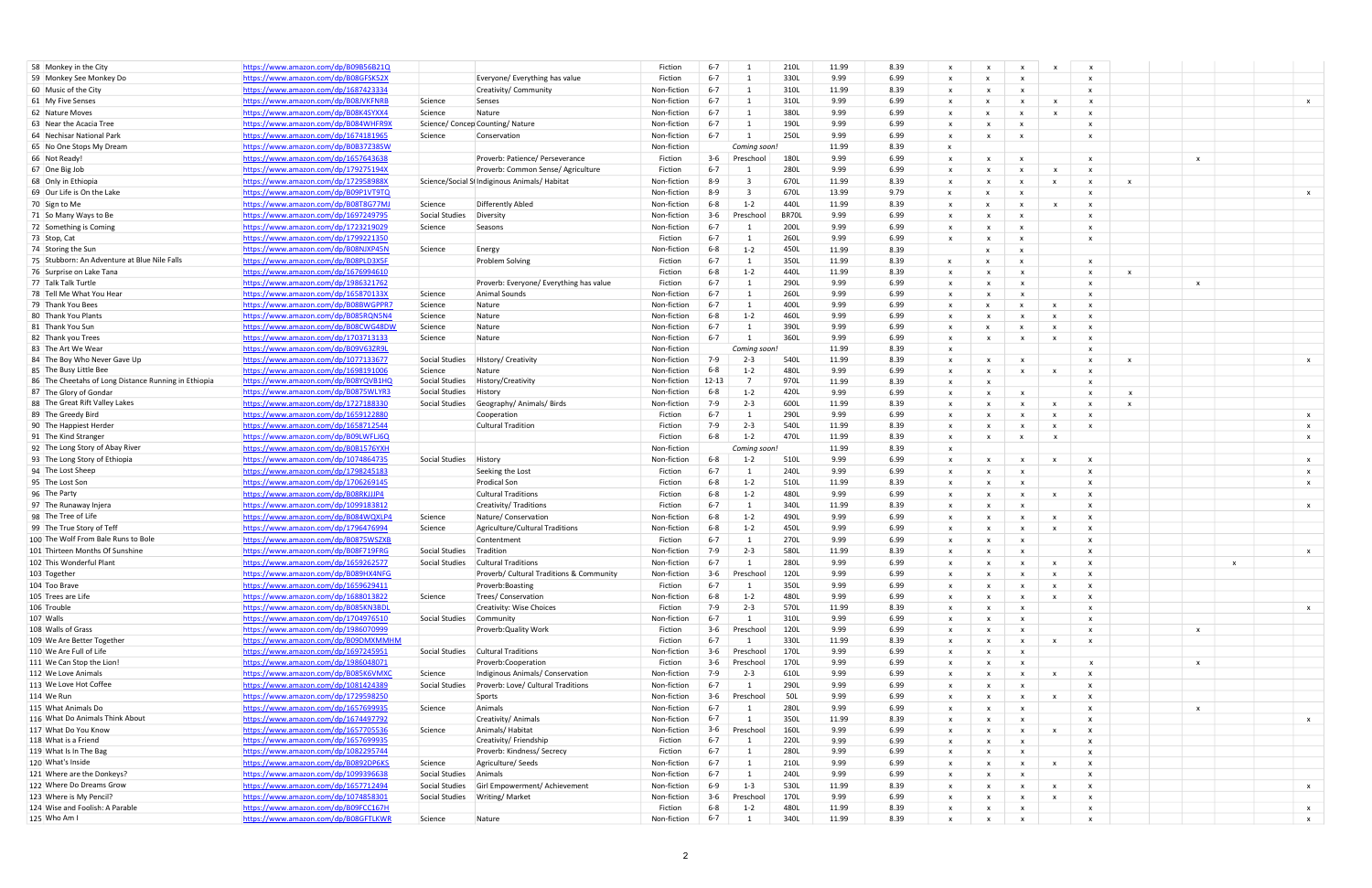| 58 Monkey in the City                                                          | https://www.amazon.com/dp/B09B56B21Q |                |                                               | Fiction                | $6 - 7$        |                | 210L        | 11.99 | 8.39 | $\mathsf{x}$              | $\boldsymbol{\mathsf{x}}$                 |                              | X                         | $\mathsf{x}$              |                           |                           |  |                           |
|--------------------------------------------------------------------------------|--------------------------------------|----------------|-----------------------------------------------|------------------------|----------------|----------------|-------------|-------|------|---------------------------|-------------------------------------------|------------------------------|---------------------------|---------------------------|---------------------------|---------------------------|--|---------------------------|
| 59 Monkey See Monkey Do                                                        | https://www.amazon.com/dp/B08GFSK52X |                | Everyone/ Everything has value                | Fiction                | $6 - 7$        | -1             | 330L        | 9.99  | 6.99 | $\mathsf{x}$              |                                           | $\mathbf{x}$                 |                           | $\mathsf{x}$              |                           |                           |  |                           |
| 60 Music of the City                                                           | https://www.amazon.com/dp/1687423334 |                | Creativity/ Community                         | Non-fiction            | $6 - 7$        | -1             | 310L        | 11.99 | 8.39 | $\mathbf{x}$              |                                           |                              |                           | $\mathbf{x}$              |                           |                           |  |                           |
| 61 My Five Senses                                                              | https://www.amazon.com/dp/B08JVKFNRB | Science        | Senses                                        | Non-fiction            | $6 - 7$        |                | 310L        | 9.99  | 6.99 | $\boldsymbol{\mathsf{x}}$ |                                           |                              | $\boldsymbol{\mathsf{x}}$ | $\mathbf{x}$              |                           |                           |  | $\boldsymbol{\mathsf{x}}$ |
| 62 Nature Moves                                                                | https://www.amazon.com/dp/B08K4SYXX4 | Science        | Nature                                        | Non-fiction            | $6 - 7$        |                | 380L        | 9.99  | 6.99 | $\mathbf{x}$              |                                           | $\boldsymbol{\mathsf{x}}$    | $\mathbf{x}$              | $\boldsymbol{\mathsf{x}}$ |                           |                           |  |                           |
| 63 Near the Acacia Tree                                                        | https://www.amazon.com/dp/B084WHFR9) |                | Science/ Concep Counting/ Nature              | Non-fiction            | $6 - 7$        |                | 190L        | 9.99  | 6.99 | $\boldsymbol{\mathsf{x}}$ |                                           |                              |                           | $\boldsymbol{\mathsf{x}}$ |                           |                           |  |                           |
| 64 Nechisar National Park                                                      |                                      |                |                                               |                        | $6 - 7$        |                |             |       |      |                           |                                           | $\boldsymbol{\mathsf{x}}$    |                           |                           |                           |                           |  |                           |
|                                                                                | https://www.amazon.com/dp/1674181965 | Science        | Conservation                                  | Non-fiction            |                |                | 250L        | 9.99  | 6.99 | $\boldsymbol{\mathsf{x}}$ | $\mathbf{x}$                              | $\mathsf{x}$                 |                           | $\mathsf{x}$              |                           |                           |  |                           |
| 65 No One Stops My Dream                                                       | https://www.amazon.com/dp/B0B37Z38SW |                |                                               | Non-fiction            |                | Coming soon!   |             | 11.99 | 8.39 | $\mathbf{x}$              |                                           |                              |                           |                           |                           |                           |  |                           |
| 66 Not Ready!                                                                  | https://www.amazon.com/dp/1657643638 |                | Proverb: Patience/ Perseverance               | Fiction                | $3-6$          | Preschool      | 180L        | 9.99  | 6.99 | $\boldsymbol{\mathsf{x}}$ |                                           | $\boldsymbol{\mathsf{x}}$    |                           | $\mathsf{x}$              |                           | $\boldsymbol{\mathsf{x}}$ |  |                           |
| 67 One Big Job                                                                 | https://www.amazon.com/dp/179275194X |                | Proverb: Common Sense/ Agriculture            | Fiction                | $6 - 7$        |                | 280L        | 9.99  | 6.99 | $\boldsymbol{\mathsf{x}}$ |                                           | x                            | x                         | $\boldsymbol{\mathsf{x}}$ |                           |                           |  |                           |
| 68 Only in Ethiopia                                                            | https://www.amazon.com/dp/172958988X |                | Science/Social St Indiginous Animals/ Habitat | Non-fiction            | $8 - 9$        |                | 670L        | 11.99 | 8.39 | $\boldsymbol{\mathsf{x}}$ | $\boldsymbol{\mathsf{x}}$                 | $\boldsymbol{\mathsf{x}}$    | $\boldsymbol{\mathsf{x}}$ | $\boldsymbol{\mathsf{x}}$ | $\boldsymbol{\mathsf{x}}$ |                           |  |                           |
| 69 Our Life is On the Lake                                                     | https://www.amazon.com/dp/B09P1VT9TQ |                |                                               | Non-fiction            | $8 - 9$        | - 3            | 670L        | 13.99 | 9.79 | $\mathbf{x}$              |                                           | x                            |                           | $\boldsymbol{\mathsf{x}}$ |                           |                           |  | $\boldsymbol{\mathsf{x}}$ |
| 70 Sign to Me                                                                  | https://www.amazon.com/dp/B08T8G77MJ | Science        | Differently Abled                             | Non-fiction            | $6 - 8$        | $1 - 2$        | 440L        | 11.99 | 8.39 | $\mathbf{x}$              |                                           | x                            | $\boldsymbol{\mathsf{x}}$ | $\boldsymbol{\mathsf{x}}$ |                           |                           |  |                           |
| 71 So Many Ways to Be                                                          | https://www.amazon.com/dp/1697249795 | Social Studies | Diversity                                     | Non-fiction            | $3 - 6$        | Preschoo       | BR70L       | 9.99  | 6.99 | $\boldsymbol{\mathsf{x}}$ |                                           | $\boldsymbol{\mathsf{x}}$    |                           | $\mathsf{x}$              |                           |                           |  |                           |
| 72 Something is Coming                                                         | https://www.amazon.com/dp/1723219029 | Science        | Seasons                                       | Non-fiction            | $6 - 7$        |                | 200L        | 9.99  | 6.99 | $\mathbf{x}$              |                                           | $\mathbf{x}$                 |                           | $\mathbf{x}$              |                           |                           |  |                           |
| 73 Stop, Cat                                                                   | https://www.amazon.com/dp/1799221350 |                |                                               | Fiction                | $6 - 7$        | - 1            | 260L        | 9.99  | 6.99 | $\boldsymbol{\mathsf{x}}$ |                                           | $\mathsf{x}$                 |                           | $\mathsf{x}$              |                           |                           |  |                           |
| 74 Storing the Sun                                                             | https://www.amazon.com/dp/B08NJXP45N | Science        | Energy                                        | Non-fiction            | $6 - 8$        | $1 - 2$        | 450L        | 11.99 | 8.39 |                           |                                           | $\mathsf{x}$                 |                           |                           |                           |                           |  |                           |
| 75 Stubborn: An Adventure at Blue Nile Falls                                   | https://www.amazon.com/dp/B08PLD3X5F |                | Problem Solving                               | Fiction                | $6 - 7$        | - 1            | 350L        | 11.99 | 8.39 | $\mathbf{x}$              |                                           | $\mathbf{x}$                 |                           | $\mathbf{x}$              |                           |                           |  |                           |
| 76 Surprise on Lake Tana                                                       | https://www.amazon.com/dp/1676994610 |                |                                               | Fiction                | $6 - 8$        | $1 - 2$        | 440L        | 11.99 | 8.39 | $\boldsymbol{\mathsf{x}}$ |                                           | $\mathbf{x}$                 |                           | $\mathbf{x}$              | $\mathsf{x}$              |                           |  |                           |
| 77 Talk Talk Turtle                                                            | https://www.amazon.com/dp/1986321762 |                | Proverb: Everyone/ Everything has value       | Fiction                | $6 - 7$        | - 1            | 290L        | 9.99  | 6.99 | $\boldsymbol{\mathsf{x}}$ |                                           | $\mathbf{x}$                 |                           | $\mathsf{x}$              |                           | $\boldsymbol{\mathsf{x}}$ |  |                           |
| 78 Tell Me What You Hear                                                       | https://www.amazon.com/dp/165870133X | Science        | Animal Sounds                                 | Non-fiction            | $6 - 7$        | - 1            | 260L        | 9.99  | 6.99 | $\mathbf{x}$              | $\mathbf{x}$                              | $\mathbf{x}$                 |                           | $\mathbf{x}$              |                           |                           |  |                           |
| 79 Thank You Bees                                                              | https://www.amazon.com/dp/B08BWGPPR7 | Science        | Nature                                        | Non-fiction            | $6 - 7$        | - 1            | 400L        | 9.99  | 6.99 | $\mathbf{x}$              |                                           | x                            | $\boldsymbol{\mathsf{x}}$ | $\boldsymbol{\mathsf{x}}$ |                           |                           |  |                           |
| 80 Thank You Plants                                                            | https://www.amazon.com/dp/B085RQN5N4 | Science        | Nature                                        | Non-fiction            | $6 - 8$        | $1 - 2$        | 460L        | 9.99  | 6.99 | $\boldsymbol{\mathsf{x}}$ |                                           |                              | $\boldsymbol{\mathsf{x}}$ | $\mathbf{x}$              |                           |                           |  |                           |
| 81 Thank You Sun                                                               | https://www.amazon.com/dp/B08CWG48DW | Science        | Nature                                        | Non-fiction            | $6 - 7$        | $\overline{1}$ | 390L        | 9.99  | 6.99 | $\boldsymbol{\mathsf{x}}$ |                                           | x                            | $\boldsymbol{\mathsf{x}}$ | $\boldsymbol{\mathsf{x}}$ |                           |                           |  |                           |
| 82 Thank you Trees                                                             | https://www.amazon.com/dp/1703713133 | Science        | Nature                                        | Non-fiction            | $6 - 7$        | - 1            | 360L        | 9.99  | 6.99 | $\mathbf{x}$              | $\boldsymbol{\mathsf{x}}$                 |                              | $\boldsymbol{\mathsf{x}}$ | $\boldsymbol{\mathsf{x}}$ |                           |                           |  |                           |
| 83 The Art We Wear                                                             | https://www.amazon.com/dp/B09V63ZR9  |                |                                               | Non-fiction            |                | Coming soon!   |             | 11.99 | 8.39 | $\mathbf{x}$              |                                           |                              |                           | $\boldsymbol{\mathsf{x}}$ |                           |                           |  |                           |
| 84 The Boy Who Never Gave Up                                                   | https://www.amazon.com/dp/1077133677 | Social Studies | <b>History/ Creativity</b>                    | Non-fiction            | 7-9            | $2 - 3$        | 540L        | 11.99 | 8.39 | $\mathbf{x}$              | x                                         |                              |                           | $\mathsf{x}$              | $\mathsf{x}$              |                           |  | $\mathsf{x}$              |
|                                                                                | https://www.amazon.com/dp/1698191006 | Science        | Nature                                        | Non-fiction            | $6 - 8$        | $1 - 2$        | 480L        | 9.99  | 6.99 | $\boldsymbol{\mathsf{x}}$ | $\boldsymbol{\mathsf{x}}$                 |                              | $\boldsymbol{\mathsf{x}}$ | $\boldsymbol{\mathsf{x}}$ |                           |                           |  |                           |
| 85 The Busy Little Bee<br>86 The Cheetahs of Long Distance Running in Ethiopia | https://www.amazon.com/dp/B08YQVB1HC | Social Studies | History/Creativity                            | Non-fiction            | 12-13          | $\overline{7}$ | 970L        | 11.99 | 8.39 | $\boldsymbol{\mathsf{x}}$ | $\mathbf{x}$                              |                              |                           | $\boldsymbol{\mathsf{x}}$ |                           |                           |  |                           |
|                                                                                | https://www.amazon.com/dp/B0875WLYR3 | Social Studies | History                                       | Non-fiction            | $6 - 8$        | $1 - 2$        | 420L        | 9.99  | 6.99 | $\mathbf{x}$              |                                           |                              |                           | $\boldsymbol{\mathsf{x}}$ | $\mathbf{x}$              |                           |  |                           |
| 87 The Glory of Gondar<br>88 The Great Rift Valley Lakes                       | https://www.amazon.com/dp/1727188330 |                | Geography/ Animals/ Birds                     |                        |                | $2 - 3$        |             | 11.99 |      |                           |                                           |                              |                           |                           |                           |                           |  |                           |
|                                                                                |                                      | Social Studies |                                               | Non-fiction            | 7-9<br>$6 - 7$ |                | 600L        |       | 8.39 | $\boldsymbol{\mathsf{x}}$ |                                           |                              | $\boldsymbol{\mathsf{x}}$ | $\mathbf{x}$              | $\boldsymbol{\mathsf{x}}$ |                           |  |                           |
| 89 The Greedy Bird                                                             | https://www.amazon.com/dp/1659122880 |                | Cooperation                                   | Fiction                |                | - 1            | 290L        | 9.99  | 6.99 | $\boldsymbol{\mathsf{x}}$ |                                           |                              | $\boldsymbol{\mathsf{x}}$ | $\boldsymbol{\mathsf{x}}$ |                           |                           |  | $\mathsf{x}$              |
| 90 The Happiest Herder                                                         | https://www.amazon.com/dp/1658712544 |                | <b>Cultural Tradition</b>                     | Fiction                | 7-9            | $2 - 3$        | 540L        | 11.99 | 8.39 | $\mathbf{x}$              |                                           |                              | $\boldsymbol{\mathsf{x}}$ | $\boldsymbol{\mathsf{x}}$ |                           |                           |  | $\mathsf{x}$              |
| 91 The Kind Stranger                                                           | https://www.amazon.com/dp/B09LWFLJ6Q |                |                                               | Fiction                | $6 - 8$        | $1 - 2$        | 470L        | 11.99 | 8.39 | $\mathsf{x}$              | $\mathsf{x}$                              | $\mathsf{x}$                 | $\mathsf{x}$              |                           |                           |                           |  | $\mathsf{x}$              |
| 92 The Long Story of Abay River                                                | https://www.amazon.com/dp/B0B1576YXH |                |                                               | Non-fiction            |                | Coming soon!   |             | 11.99 | 8.39 | $\boldsymbol{\mathsf{x}}$ |                                           |                              |                           |                           |                           |                           |  |                           |
| 93 The Long Story of Ethiopia                                                  | https://www.amazon.com/dp/1074864735 | Social Studies | History                                       | Non-fiction            | $6 - 8$        | $1 - 2$        | 510L        | 9.99  | 6.99 | $\mathbf{x}$              |                                           |                              | $\boldsymbol{\mathsf{x}}$ | $\boldsymbol{\mathsf{x}}$ |                           |                           |  | $\mathsf{x}$              |
| 94 The Lost Sheep                                                              | https://www.amazon.com/dp/1798245183 |                | Seeking the Lost                              | Fiction                | 6-7            | - 1            | 240L        | 9.99  | 6.99 | $\boldsymbol{\mathsf{x}}$ |                                           |                              |                           | $\boldsymbol{\mathsf{x}}$ |                           |                           |  | $\mathsf{x}$              |
| 95 The Lost Son                                                                | https://www.amazon.com/dp/1706269145 |                | <b>Prodical Son</b>                           | Fiction                | $6 - 8$        | $1 - 2$        | 510L        | 11.99 | 8.39 | $\mathsf{x}$              | $\mathbf{x}$                              | $\mathbf{x}$                 |                           | $\mathbf{x}$              |                           |                           |  | $\mathsf{x}$              |
| 96 The Party                                                                   | https://www.amazon.com/dp/B08RKJJJP4 |                | <b>Cultural Traditions</b>                    | Fiction                | $6 - 8$        | $1 - 2$        | 480L        | 9.99  | 6.99 | $\boldsymbol{\mathsf{x}}$ |                                           |                              |                           | $\boldsymbol{\mathsf{x}}$ |                           |                           |  |                           |
| 97 The Runaway Injera                                                          | https://www.amazon.com/dp/1099183812 |                | Creativity/Traditions                         | Fiction                | $6 - 7$        | - 1            | 340L        | 11.99 | 8.39 | $\boldsymbol{\mathsf{x}}$ |                                           |                              |                           | $\mathsf{x}$              |                           |                           |  | $\mathsf{x}$              |
| 98 The Tree of Life                                                            | https://www.amazon.com/dp/B084WQXLP4 | Science        | Nature/Conservation                           | Non-fiction            | $6 - 8$        | $1 - 2$        | 490L        | 9.99  | 6.99 | $\mathbf{x}$              |                                           |                              | $\boldsymbol{\mathsf{x}}$ | $\mathbf{x}$              |                           |                           |  |                           |
| 99 The True Story of Teff                                                      | https://www.amazon.com/dp/1796476994 | Science        | Agriculture/Cultural Traditions               | Non-fiction            | $6 - 8$        | $1 - 2$        | 450L        | 9.99  | 6.99 | $\boldsymbol{\mathsf{x}}$ |                                           |                              | $\boldsymbol{\mathsf{x}}$ | $\boldsymbol{\mathsf{x}}$ |                           |                           |  |                           |
| 100 The Wolf From Bale Runs to Bole                                            | https://www.amazon.com/dp/B0875WSZXE |                | Contentment                                   | Fiction                | $6 - 7$        | $\overline{1}$ | 270L        | 9.99  | 6.99 | $\boldsymbol{\mathsf{x}}$ |                                           |                              |                           | $\boldsymbol{\mathsf{x}}$ |                           |                           |  |                           |
| 101 Thirteen Months Of Sunshine                                                | https://www.amazon.com/dp/B08F719FRG | Social Studies | Tradition                                     | Non-fiction            | 7-9            | $2 - 3$        | 580L        | 11.99 | 8.39 | $\boldsymbol{\mathsf{x}}$ | $\boldsymbol{\mathsf{x}}$                 |                              |                           | $\mathsf{x}$              |                           |                           |  | $\boldsymbol{\mathsf{x}}$ |
| 102 This Wonderful Plant                                                       | https://www.amazon.com/dp/1659262577 | Social Studies | <b>Cultural Traditions</b>                    | Non-fiction            | $6 - 7$        |                | <b>280L</b> | 9.99  | 6.99 |                           |                                           |                              |                           |                           |                           |                           |  |                           |
| 103 Together                                                                   | https://www.amazon.com/dp/B089HX4NFG |                | Proverb/ Cultural Traditions & Community      | Non-fiction            | $3-6$          | Preschool      | 120L        | 9.99  | 6.99 | $\mathbf{x}$              |                                           |                              | $\mathsf{x}$              | $\boldsymbol{\mathsf{x}}$ |                           |                           |  |                           |
| 104 Too Brave                                                                  | https://www.amazon.com/dp/1659629411 |                | Proverb:Boasting                              | Fiction                | $6 - 7$        | - 1            | 350L        | 9.99  | 6.99 | X                         | $\mathsf{x}$                              |                              | $\boldsymbol{\mathsf{x}}$ | $\boldsymbol{\mathsf{x}}$ |                           |                           |  |                           |
| 105 Trees are Life                                                             | https://www.amazon.com/dp/1688013822 | Science        | Trees/ Conservation                           | Non-fiction            | $6 - 8$        | $1 - 2$        | 480L        | 9.99  | 6.99 | $\mathbf{x}$              | $\mathbf{x}$                              | $\mathbf{x}$                 | $\mathsf{x}$              | $\boldsymbol{\mathsf{x}}$ |                           |                           |  |                           |
| 106 Trouble                                                                    | https://www.amazon.com/dp/B085KN3BDL |                | <b>Creativity: Wise Choices</b>               |                        | 7-9            | $2 - 3$        | 570L        | 11.99 | 8.39 | $\mathbf{x}$              |                                           |                              |                           | $\mathsf{x}$              |                           |                           |  |                           |
| 107 Walls                                                                      | https://www.amazon.com/dp/1704976510 | Social Studies | Community                                     | Fiction<br>Non-fiction | $6 - 7$        | 1              | 310L        | 9.99  | 6.99 | X                         | $\boldsymbol{\mathsf{x}}$<br>$\mathsf{x}$ | $\mathbf{x}$<br>$\mathbf{x}$ |                           | $\mathsf{x}$              |                           |                           |  | $\mathsf{x}$              |
| 108 Walls of Grass                                                             | https://www.amazon.com/dp/1986070999 |                | Proverb: Quality Work                         | Fiction                | $3-6$          | Preschool      | 120L        | 9.99  | 6.99 | $\boldsymbol{\mathsf{x}}$ | X                                         | $\mathbf{x}$                 |                           | $\mathsf{x}$              |                           | $\boldsymbol{\mathsf{x}}$ |  |                           |
| 109 We Are Better Together                                                     | https://www.amazon.com/dp/B09DMXMMHM |                |                                               | Fiction                | $6 - 7$        | $\mathbf{1}$   | 330L        | 11.99 | 8.39 | $\mathbf{x}$              | $\boldsymbol{\mathsf{x}}$                 | $\mathbf{x}$                 | $\mathbf{x}$              | $\mathbf{x}$              |                           |                           |  |                           |
| 110 We Are Full of Life                                                        | https://www.amazon.com/dp/1697245951 | Social Studies | <b>Cultural Traditions</b>                    | Non-fiction            | $3-6$          | Preschool      | 170L        | 9.99  | 6.99 | $\mathsf{x}$              | $\mathbf{x}$                              | $\mathbf{x}$                 |                           |                           |                           |                           |  |                           |
| 111 We Can Stop the Lion!                                                      | https://www.amazon.com/dp/1986048071 |                | Proverb:Cooperation                           | Fiction                | $3-6$          | Preschool      | 170L        | 9.99  | 6.99 | $\mathsf{x}$              | $\boldsymbol{\mathsf{x}}$                 | $\mathbf{x}$                 |                           | $\mathsf{x}$              |                           | $\boldsymbol{\mathsf{x}}$ |  |                           |
| 112 We Love Animals                                                            | https://www.amazon.com/dp/B085K6VMXC |                |                                               |                        | $7-9$          |                |             |       |      |                           |                                           | $\mathbf{x}$                 |                           |                           |                           |                           |  |                           |
|                                                                                |                                      | Science        | Indiginous Animals/ Conservation              | Non-fiction            |                | $2 - 3$        | 610L        | 9.99  | 6.99 | $\mathsf{x}$              | $\mathsf{x}$                              |                              | $\boldsymbol{\mathsf{x}}$ | $\mathsf{x}$              |                           |                           |  |                           |
| 113 We Love Hot Coffee                                                         | https://www.amazon.com/dp/1081424389 | Social Studies | Proverb: Love/ Cultural Traditions            | Non-fiction            | $6 - 7$        | $\overline{1}$ | 290L        | 9.99  | 6.99 | $\boldsymbol{\mathsf{x}}$ | $\mathbf{x}$                              | $\mathbf{x}$                 |                           | $\mathsf{x}$              |                           |                           |  |                           |
| 114 We Run                                                                     | https://www.amazon.com/dp/1729598250 |                | Sports                                        | Non-fiction            | $3-6$          | Preschool      | 50L         | 9.99  | 6.99 | $\mathsf{x}$              |                                           |                              | $\boldsymbol{\mathsf{x}}$ | $\boldsymbol{\mathsf{x}}$ |                           |                           |  |                           |
| 115 What Animals Do                                                            | https://www.amazon.com/dp/1657699935 | Science        | Animals                                       | Non-fiction            | $6 - 7$        | - 1            | 280L        | 9.99  | 6.99 | $\mathsf{x}$              | $\mathbf{x}$                              | $\mathbf{x}$                 |                           | $\mathsf{x}$              |                           | $\mathsf{x}$              |  |                           |
| 116 What Do Animals Think About                                                | https://www.amazon.com/dp/1674497792 |                | Creativity/ Animals                           | Non-fiction            | $6 - 7$        | $\overline{1}$ | 350L        | 11.99 | 8.39 | $\mathsf{x}$              | $\mathsf{x}$                              | $\mathbf{x}$                 |                           | $\mathsf{x}$              |                           |                           |  | $\mathbf{x}$              |
| 117 What Do You Know                                                           | https://www.amazon.com/dp/1657705536 | Science        | Animals/Habitat                               | Non-fiction            | $3-6$          | Preschool      | 160L        | 9.99  | 6.99 | $\mathsf{x}$              | $\boldsymbol{\mathsf{x}}$                 | $\mathsf{x}$                 | $\mathsf{x}$              | $\mathsf{x}$              |                           |                           |  |                           |
| 118 What is a Friend                                                           | https://www.amazon.com/dp/1657699935 |                | Creativity/Friendship                         | Fiction                | $6 - 7$        | - 1            | 220L        | 9.99  | 6.99 | $\mathsf{x}$              | $\boldsymbol{\mathsf{x}}$                 | $\mathbf{x}$                 |                           | $\mathsf{x}$              |                           |                           |  |                           |
| 119 What Is In The Bag                                                         | https://www.amazon.com/dp/1082295744 |                | Proverb: Kindness/ Secrecy                    | Fiction                | $6 - 7$        | $\mathbf{1}$   | 280L        | 9.99  | 6.99 | $\mathsf{x}$              | $\mathbf{x}$                              | $\mathbf{x}$                 |                           | $\mathsf{x}$              |                           |                           |  |                           |
| 120 What's Inside                                                              | https://www.amazon.com/dp/B0892DP6KS | Science        | Agriculture/Seeds                             | Non-fiction            | $6 - 7$        | $\mathbf{1}$   | 210L        | 9.99  | 6.99 | x                         | $\mathsf{x}$                              | $\mathbf{x}$                 | $\boldsymbol{\mathsf{x}}$ | $\mathsf{x}$              |                           |                           |  |                           |
| 121 Where are the Donkeys?                                                     | https://www.amazon.com/dp/1099396638 | Social Studies | Animals                                       | Non-fiction            | $6 - 7$        | - 1            | 240L        | 9.99  | 6.99 | $\mathsf{x}$              |                                           |                              |                           | $\mathsf{X}$              |                           |                           |  |                           |
| 122 Where Do Dreams Grow                                                       | https://www.amazon.com/dp/1657712494 | Social Studies | Girl Empowerment/ Achievement                 | Non-fiction            | $6 - 9$        | $1 - 3$        | 530L        | 11.99 | 8.39 | $\mathsf{x}$              | $\mathsf{x}$                              | $\mathbf{x}$                 | $\boldsymbol{\mathsf{x}}$ | $\mathsf{x}$              |                           |                           |  | $\mathsf{x}$              |
| 123 Where is My Pencil?                                                        | https://www.amazon.com/dp/1074858301 | Social Studies | Writing/Market                                | Non-fiction            | $3-6$          | Preschool      | 170L        | 9.99  | 6.99 | $\mathsf{x}$              | $\boldsymbol{\mathsf{x}}$                 | $\mathsf{x}$                 | $\boldsymbol{\mathsf{x}}$ | $\mathsf{x}$              |                           |                           |  |                           |
| 124 Wise and Foolish: A Parable                                                | https://www.amazon.com/dp/B09FCC167H |                |                                               | Fiction                | 6-8            | $1 - 2$        | 480L        | 11.99 | 8.39 | $\mathsf{x}$              | $\mathsf{x}$                              | X                            |                           | $\boldsymbol{\mathsf{x}}$ |                           |                           |  | $\mathsf{x}$              |
|                                                                                |                                      |                |                                               |                        |                |                |             |       |      |                           |                                           |                              |                           |                           |                           |                           |  | $\mathbf{x}$              |
| 125 Who Am I                                                                   | https://www.amazon.com/dp/B08GFTLKWR | Science        | Nature                                        | Non-fiction            | $6 - 7$        | - 1            | 340L        | 11.99 | 8.39 | $\mathsf{x}$              | $\mathsf{X}$                              | $\mathsf{x}$                 |                           | $\mathbf{x}$              |                           |                           |  |                           |